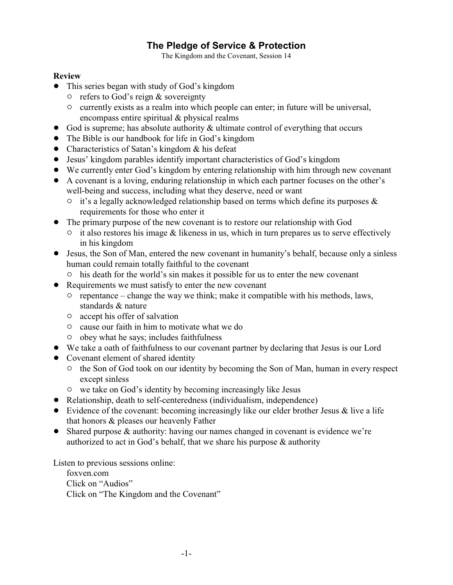# **The Pledge of Service & Protection**

The Kingdom and the Covenant, Session 14

### **Review**

- This series began with study of God's kingdom
	- $\circ$  refers to God's reign & sovereignty
	- $\circ$  currently exists as a realm into which people can enter; in future will be universal, encompass entire spiritual & physical realms
- $\bullet$  God is supreme; has absolute authority & ultimate control of everything that occurs
- The Bible is our handbook for life in God's kingdom
- Characteristics of Satan's kingdom & his defeat
- ! Jesus' kingdom parables identify important characteristics of God's kingdom
- ! We currently enter God's kingdom by entering relationship with him through new covenant
- ! A covenant is a loving, enduring relationship in which each partner focuses on the other's well-being and success, including what they deserve, need or want
	- $\circ$  it's a legally acknowledged relationship based on terms which define its purposes & requirements for those who enter it
- ! The primary purpose of the new covenant is to restore our relationship with God
	- $\circ$  it also restores his image & likeness in us, which in turn prepares us to serve effectively in his kingdom
- ! Jesus, the Son of Man, entered the new covenant in humanity's behalf, because only a sinless human could remain totally faithful to the covenant
	- $\circ$  his death for the world's sin makes it possible for us to enter the new covenant
- Requirements we must satisfy to enter the new covenant
	- $\circ$  repentance change the way we think; make it compatible with his methods, laws, standards & nature
	- $\circ$  accept his offer of salvation
	- $\circ$  cause our faith in him to motivate what we do
	- $\circ$  obey what he says; includes faithfulness
- ! We take a oath of faithfulness to our covenant partner by declaring that Jesus is our Lord
- Covenant element of shared identity
	- <sup>o</sup> the Son of God took on our identity by becoming the Son of Man, human in every respect except sinless
	- $\circ$  we take on God's identity by becoming increasingly like Jesus
- Relationship, death to self-centeredness (individualism, independence)
- Evidence of the covenant: becoming increasingly like our elder brother Jesus & live a life that honors & pleases our heavenly Father
- ! Shared purpose & authority: having our names changed in covenant is evidence we're authorized to act in God's behalf, that we share his purpose  $\&$  authority

Listen to previous sessions online:

foxven.com Click on "Audios" Click on "The Kingdom and the Covenant"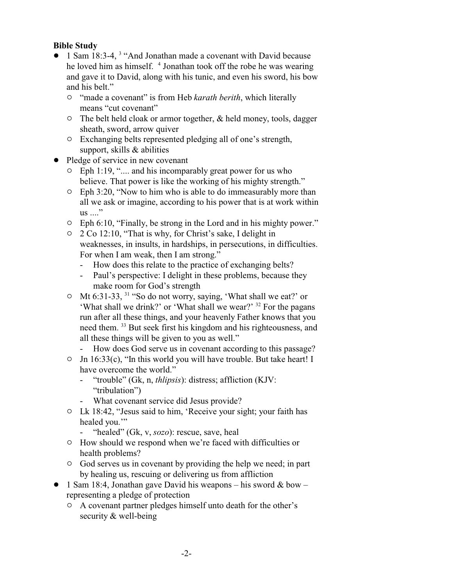## **Bible Study**

- 1 Sam 18:3-4, <sup>3</sup> "And Jonathan made a covenant with David because he loved him as himself. <sup>4</sup> Jonathan took off the robe he was wearing and gave it to David, along with his tunic, and even his sword, his bow and his belt."
	- <sup>o</sup> "made a covenant" is from Heb *karath berith*, which literally means "cut covenant"
	- $\circ$  The belt held cloak or armor together, & held money, tools, dagger sheath, sword, arrow quiver
	- $\circ$  Exchanging belts represented pledging all of one's strength, support, skills & abilities
- Pledge of service in new covenant
	- $\circ$  Eph 1:19, ".... and his incomparably great power for us who believe. That power is like the working of his mighty strength."
	- $\circ$  Eph 3:20, "Now to him who is able to do immeasurably more than all we ask or imagine, according to his power that is at work within  $\text{us} \dots$ "
	- $\degree$  Eph 6:10, "Finally, be strong in the Lord and in his mighty power."
	- " 2 Co 12:10, "That is why, for Christ's sake, I delight in weaknesses, in insults, in hardships, in persecutions, in difficulties. For when I am weak, then I am strong."
		- How does this relate to the practice of exchanging belts?
		- Paul's perspective: I delight in these problems, because they make room for God's strength
	- $\circ$  Mt 6:31-33, <sup>31</sup> "So do not worry, saying, 'What shall we eat?' or 'What shall we drink?' or 'What shall we wear?' <sup>32</sup> For the pagans run after all these things, and your heavenly Father knows that you need them. <sup>33</sup> But seek first his kingdom and his righteousness, and all these things will be given to you as well."
		- How does God serve us in covenant according to this passage?
	- $\circ$  Jn 16:33(c), "In this world you will have trouble. But take heart! I have overcome the world."
		- "trouble" (Gk, n, *thlipsis*): distress; affliction (KJV: "tribulation")
		- What covenant service did Jesus provide?
	- $\circ$  Lk 18:42, "Jesus said to him, 'Receive your sight; your faith has healed you."
		- "healed" (Gk, v, *sozo*): rescue, save, heal
	- $\circ$  How should we respond when we're faced with difficulties or health problems?
	- " God serves us in covenant by providing the help we need; in part by healing us, rescuing or delivering us from affliction
- 1 Sam 18:4, Jonathan gave David his weapons his sword  $&$  bow representing a pledge of protection
	- $\circ$  A covenant partner pledges himself unto death for the other's security & well-being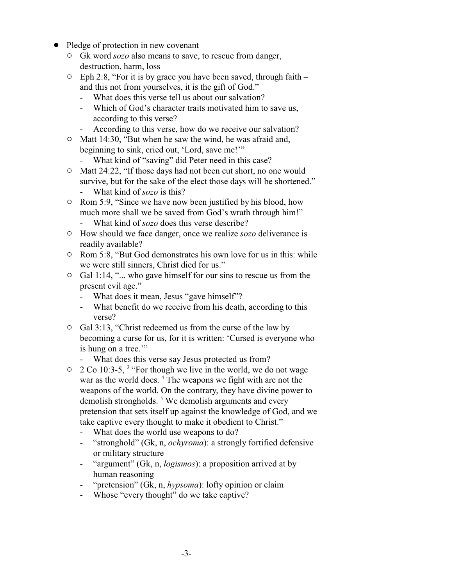- Pledge of protection in new covenant
	- " Gk word *sozo* also means to save, to rescue from danger, destruction, harm, loss
	- $\circ$  Eph 2:8, "For it is by grace you have been saved, through faith and this not from yourselves, it is the gift of God."
		- What does this verse tell us about our salvation?
		- Which of God's character traits motivated him to save us, according to this verse?
		- According to this verse, how do we receive our salvation?
	- $\circ$  Matt 14:30, "But when he saw the wind, he was afraid and, beginning to sink, cried out, 'Lord, save me!'"
		- What kind of "saving" did Peter need in this case?
	- $\circ$  Matt 24:22, "If those days had not been cut short, no one would survive, but for the sake of the elect those days will be shortened."
		- What kind of *sozo* is this?
	- <sup>o</sup> Rom 5:9, "Since we have now been justified by his blood, how much more shall we be saved from God's wrath through him!"
		- What kind of *sozo* does this verse describe?
	- $\circ$  How should we face danger, once we realize *sozo* deliverance is readily available?
	- $\circ$  Rom 5:8, "But God demonstrates his own love for us in this: while we were still sinners, Christ died for us."
	- $\circ$  Gal 1:14, "... who gave himself for our sins to rescue us from the present evil age."
		- What does it mean, Jesus "gave himself"?
		- What benefit do we receive from his death, according to this verse?
	- $\circ$  Gal 3:13, "Christ redeemed us from the curse of the law by becoming a curse for us, for it is written: 'Cursed is everyone who is hung on a tree."
		- What does this verse say Jesus protected us from?
	- $\degree$  2 Co 10:3-5, <sup>3</sup> "For though we live in the world, we do not wage war as the world does.<sup>4</sup> The weapons we fight with are not the weapons of the world. On the contrary, they have divine power to demolish strongholds.<sup>5</sup> We demolish arguments and every pretension that sets itself up against the knowledge of God, and we take captive every thought to make it obedient to Christ."
		- What does the world use weapons to do?
		- "stronghold" (Gk, n, *ochyroma*): a strongly fortified defensive or military structure
		- "argument" (Gk, n, *logismos*): a proposition arrived at by human reasoning
		- "pretension" (Gk, n, *hypsoma*): lofty opinion or claim
		- Whose "every thought" do we take captive?